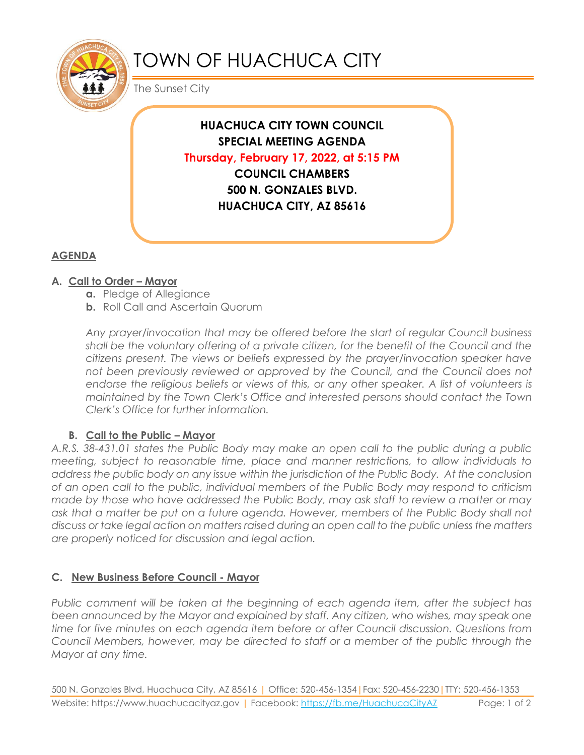

# TOWN OF HUACHUCA CITY

The Sunset City

**HUACHUCA CITY TOWN COUNCIL SPECIAL MEETING AGENDA Thursday, February 17, 2022, at 5:15 PM COUNCIL CHAMBERS 500 N. GONZALES BLVD. HUACHUCA CITY, AZ 85616**

## **AGENDA**

## **A. Call to Order – Mayor**

- **a.** Pledge of Allegiance
- **b.** Roll Call and Ascertain Quorum

*Any prayer/invocation that may be offered before the start of regular Council business shall be the voluntary offering of a private citizen, for the benefit of the Council and the citizens present. The views or beliefs expressed by the prayer/invocation speaker have not been previously reviewed or approved by the Council, and the Council does not* endorse the religious beliefs or views of this, or any other speaker. A list of volunteers is *maintained by the Town Clerk's Office and interested persons should contact the Town Clerk's Office for further information.*

## **B. Call to the Public – Mayor**

*A.R.S. 38-431.01 states the Public Body may make an open call to the public during a public meeting, subject to reasonable time, place and manner restrictions, to allow individuals to address the public body on any issue within the jurisdiction of the Public Body. At the conclusion of an open call to the public, individual members of the Public Body may respond to criticism made by those who have addressed the Public Body, may ask staff to review a matter or may*  ask that a matter be put on a future agenda. However, members of the Public Body shall not *discuss or take legal action on matters raised during an open call to the public unless the matters are properly noticed for discussion and legal action.*

## **C. New Business Before Council - Mayor**

*Public comment will be taken at the beginning of each agenda item, after the subject has been announced by the Mayor and explained by staff. Any citizen, who wishes, may speak one time for five minutes on each agenda item before or after Council discussion. Questions from Council Members, however, may be directed to staff or a member of the public through the Mayor at any time.* 

500 N. Gonzales Blvd, Huachuca City, AZ 85616 | Office: 520-456-1354|Fax: 520-456-2230|TTY: 520-456-1353 Website: https://www.huachucacityaz.gov | Facebook:<https://fb.me/HuachucaCityAZ> Page: 1 of 2